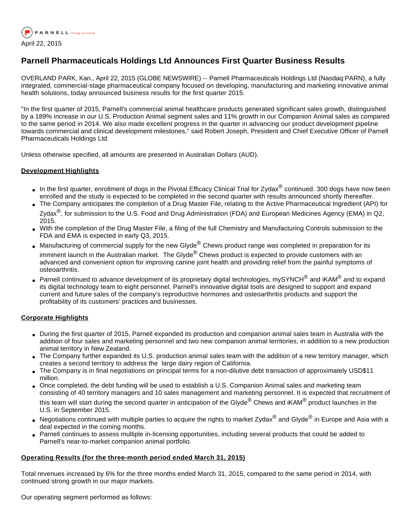

# **Parnell Pharmaceuticals Holdings Ltd Announces First Quarter Business Results**

OVERLAND PARK, Kan., April 22, 2015 (GLOBE NEWSWIRE) -- Parnell Pharmaceuticals Holdings Ltd (Nasdaq:PARN), a fully integrated, commercial-stage pharmaceutical company focused on developing, manufacturing and marketing innovative animal health solutions, today announced business results for the first quarter 2015.

"In the first quarter of 2015, Parnell's commercial animal healthcare products generated significant sales growth, distinguished by a 189% increase in our U.S. Production Animal segment sales and 11% growth in our Companion Animal sales as compared to the same period in 2014. We also made excellent progress in the quarter in advancing our product development pipeline towards commercial and clinical development milestones," said Robert Joseph, President and Chief Executive Officer of Parnell Pharmaceuticals Holdings Ltd.

Unless otherwise specified, all amounts are presented in Australian Dollars (AUD).

## **Development Highlights**

- In the first quarter, enrollment of dogs in the Pivotal Efficacy Clinical Trial for Zydax<sup>®</sup> continued. 300 dogs have now been enrolled and the study is expected to be completed in the second quarter with results announced shortly thereafter.
- The Company anticipates the completion of a Drug Master File, relating to the Active Pharmaceutical Ingredient (API) for Zvdax<sup>®</sup>, for submission to the U.S. Food and Drug Administration (FDA) and European Medicines Agency (EMA) in Q2, 2015.
- With the completion of the Drug Master File, a filing of the full Chemistry and Manufacturing Controls submission to the FDA and EMA is expected in early Q3, 2015.
- Manufacturing of commercial supply for the new Glyde<sup>®</sup> Chews product range was completed in preparation for its imminent launch in the Australian market. The Glyde<sup>®</sup> Chews product is expected to provide customers with an advanced and convenient option for improving canine joint health and providing relief from the painful symptoms of osteoarthritis.
- Parnell continued to advance development of its proprietary digital technologies, mySYNCH<sup>®</sup> and iKAM<sup>®</sup> and to expand its digital technology team to eight personnel. Parnell's innovative digital tools are designed to support and expand current and future sales of the company's reproductive hormones and osteoarthritis products and support the profitability of its customers' practices and businesses.

### **Corporate Highlights**

- During the first quarter of 2015, Parnell expanded its production and companion animal sales team in Australia with the addition of four sales and marketing personnel and two new companion animal territories, in addition to a new production animal territory in New Zealand.
- The Company further expanded its U.S. production animal sales team with the addition of a new territory manager, which creates a second territory to address the large dairy region of California.
- The Company is in final negotiations on principal terms for a non-dilutive debt transaction of approximately USD\$11 million.
- Once completed, the debt funding will be used to establish a U.S. Companion Animal sales and marketing team consisting of 40 territory managers and 10 sales management and marketing personnel. It is expected that recruitment of this team will start during the second quarter in anticipation of the Glyde<sup>®</sup> Chews and iKAM<sup>®</sup> product launches in the U.S. in September 2015.
- Negotiations continued with multiple parties to acquire the rights to market Zydax<sup>®</sup> and Glyde<sup>®</sup> in Europe and Asia with a deal expected in the coming months.
- Parnell continues to assess multiple in-licensing opportunities, including several products that could be added to Parnell's near-to-market companion animal portfolio.

### **Operating Results (for the three-month period ended March 31, 2015)**

Total revenues increased by 6% for the three months ended March 31, 2015, compared to the same period in 2014, with continued strong growth in our major markets.

Our operating segment performed as follows: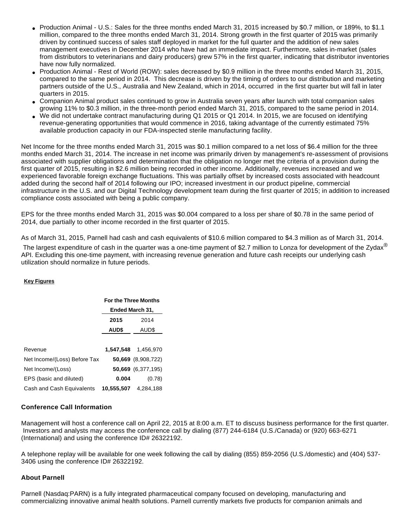- Production Animal U.S.: Sales for the three months ended March 31, 2015 increased by \$0.7 million, or 189%, to \$1.1 million, compared to the three months ended March 31, 2014. Strong growth in the first quarter of 2015 was primarily driven by continued success of sales staff deployed in market for the full quarter and the addition of new sales management executives in December 2014 who have had an immediate impact. Furthermore, sales in-market (sales from distributors to veterinarians and dairy producers) grew 57% in the first quarter, indicating that distributor inventories have now fully normalized.
- Production Animal Rest of World (ROW): sales decreased by \$0.9 million in the three months ended March 31, 2015, compared to the same period in 2014. This decrease is driven by the timing of orders to our distribution and marketing partners outside of the U.S., Australia and New Zealand, which in 2014, occurred in the first quarter but will fall in later quarters in 2015.
- Companion Animal product sales continued to grow in Australia seven years after launch with total companion sales growing 11% to \$0.3 million, in the three-month period ended March 31, 2015, compared to the same period in 2014.
- We did not undertake contract manufacturing during Q1 2015 or Q1 2014. In 2015, we are focused on identifying revenue-generating opportunities that would commence in 2016, taking advantage of the currently estimated 75% available production capacity in our FDA-inspected sterile manufacturing facility.

Net Income for the three months ended March 31, 2015 was \$0.1 million compared to a net loss of \$6.4 million for the three months ended March 31, 2014. The increase in net income was primarily driven by management's re-assessment of provisions associated with supplier obligations and determination that the obligation no longer met the criteria of a provision during the first quarter of 2015, resulting in \$2.6 million being recorded in other income. Additionally, revenues increased and we experienced favorable foreign exchange fluctuations. This was partially offset by increased costs associated with headcount added during the second half of 2014 following our IPO; increased investment in our product pipeline, commercial infrastructure in the U.S. and our Digital Technology development team during the first quarter of 2015; in addition to increased compliance costs associated with being a public company.

EPS for the three months ended March 31, 2015 was \$0.004 compared to a loss per share of \$0.78 in the same period of 2014, due partially to other income recorded in the first quarter of 2015.

As of March 31, 2015, Parnell had cash and cash equivalents of \$10.6 million compared to \$4.3 million as of March 31, 2014.

The largest expenditure of cash in the quarter was a one-time payment of \$2.7 million to Lonza for development of the Zydax<sup>®</sup> API. Excluding this one-time payment, with increasing revenue generation and future cash receipts our underlying cash utilization should normalize in future periods.

### **Key Figures**

|                              | <b>For the Three Months</b><br>Ended March 31, |                    |
|------------------------------|------------------------------------------------|--------------------|
|                              |                                                |                    |
|                              | 2015                                           | 2014               |
|                              | <b>AUD\$</b>                                   | AUD\$              |
|                              |                                                |                    |
| Revenue                      | 1,547,548                                      | 1.456.970          |
| Net Income/(Loss) Before Tax |                                                | 50,669 (8,908,722) |
| Net Income/(Loss)            |                                                | 50,669 (6,377,195) |
| EPS (basic and diluted)      | 0.004                                          | (0.78)             |
| Cash and Cash Equivalents    | 10,555,507                                     | 4,284,188          |

### **Conference Call Information**

Management will host a conference call on April 22, 2015 at 8:00 a.m. ET to discuss business performance for the first quarter. Investors and analysts may access the conference call by dialing (877) 244-6184 (U.S./Canada) or (920) 663-6271 (International) and using the conference ID# 26322192.

A telephone replay will be available for one week following the call by dialing (855) 859-2056 (U.S./domestic) and (404) 537- 3406 using the conference ID# 26322192.

### **About Parnell**

Parnell (Nasdaq:PARN) is a fully integrated pharmaceutical company focused on developing, manufacturing and commercializing innovative animal health solutions. Parnell currently markets five products for companion animals and